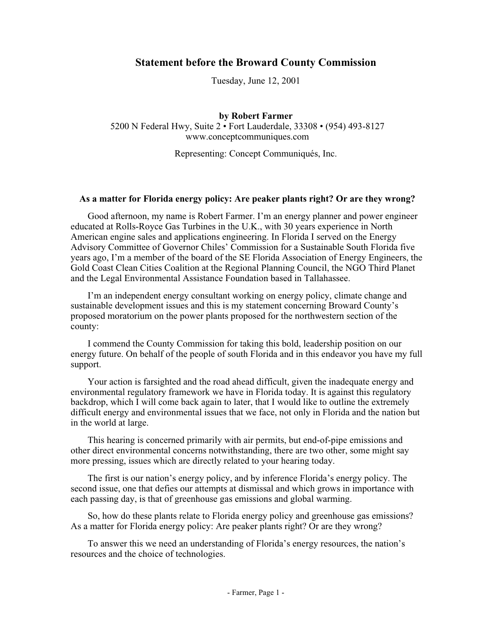# **Statement before the Broward County Commission**

Tuesday, June 12, 2001

**by Robert Farmer** 5200 N Federal Hwy, Suite 2 • Fort Lauderdale, 33308 • (954) 493-8127 www.conceptcommuniques.com

Representing: Concept Communiqués, Inc.

#### **As a matter for Florida energy policy: Are peaker plants right? Or are they wrong?**

Good afternoon, my name is Robert Farmer. I'm an energy planner and power engineer educated at Rolls-Royce Gas Turbines in the U.K., with 30 years experience in North American engine sales and applications engineering. In Florida I served on the Energy Advisory Committee of Governor Chiles' Commission for a Sustainable South Florida five years ago, I'm a member of the board of the SE Florida Association of Energy Engineers, the Gold Coast Clean Cities Coalition at the Regional Planning Council, the NGO Third Planet and the Legal Environmental Assistance Foundation based in Tallahassee.

I'm an independent energy consultant working on energy policy, climate change and sustainable development issues and this is my statement concerning Broward County's proposed moratorium on the power plants proposed for the northwestern section of the county:

I commend the County Commission for taking this bold, leadership position on our energy future. On behalf of the people of south Florida and in this endeavor you have my full support.

Your action is farsighted and the road ahead difficult, given the inadequate energy and environmental regulatory framework we have in Florida today. It is against this regulatory backdrop, which I will come back again to later, that I would like to outline the extremely difficult energy and environmental issues that we face, not only in Florida and the nation but in the world at large.

This hearing is concerned primarily with air permits, but end-of-pipe emissions and other direct environmental concerns notwithstanding, there are two other, some might say more pressing, issues which are directly related to your hearing today.

The first is our nation's energy policy, and by inference Florida's energy policy. The second issue, one that defies our attempts at dismissal and which grows in importance with each passing day, is that of greenhouse gas emissions and global warming.

So, how do these plants relate to Florida energy policy and greenhouse gas emissions? As a matter for Florida energy policy: Are peaker plants right? Or are they wrong?

To answer this we need an understanding of Florida's energy resources, the nation's resources and the choice of technologies.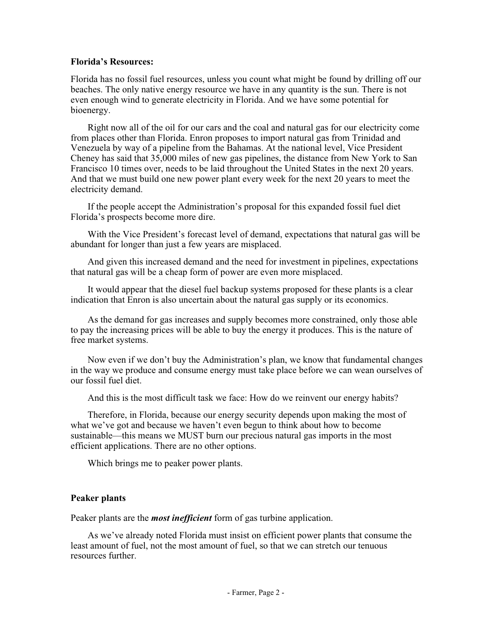### **Florida's Resources:**

Florida has no fossil fuel resources, unless you count what might be found by drilling off our beaches. The only native energy resource we have in any quantity is the sun. There is not even enough wind to generate electricity in Florida. And we have some potential for bioenergy.

Right now all of the oil for our cars and the coal and natural gas for our electricity come from places other than Florida. Enron proposes to import natural gas from Trinidad and Venezuela by way of a pipeline from the Bahamas. At the national level, Vice President Cheney has said that 35,000 miles of new gas pipelines, the distance from New York to San Francisco 10 times over, needs to be laid throughout the United States in the next 20 years. And that we must build one new power plant every week for the next 20 years to meet the electricity demand.

If the people accept the Administration's proposal for this expanded fossil fuel diet Florida's prospects become more dire.

With the Vice President's forecast level of demand, expectations that natural gas will be abundant for longer than just a few years are misplaced.

And given this increased demand and the need for investment in pipelines, expectations that natural gas will be a cheap form of power are even more misplaced.

It would appear that the diesel fuel backup systems proposed for these plants is a clear indication that Enron is also uncertain about the natural gas supply or its economics.

As the demand for gas increases and supply becomes more constrained, only those able to pay the increasing prices will be able to buy the energy it produces. This is the nature of free market systems.

Now even if we don't buy the Administration's plan, we know that fundamental changes in the way we produce and consume energy must take place before we can wean ourselves of our fossil fuel diet.

And this is the most difficult task we face: How do we reinvent our energy habits?

Therefore, in Florida, because our energy security depends upon making the most of what we've got and because we haven't even begun to think about how to become sustainable—this means we MUST burn our precious natural gas imports in the most efficient applications. There are no other options.

Which brings me to peaker power plants.

#### **Peaker plants**

Peaker plants are the *most inefficient* form of gas turbine application.

As we've already noted Florida must insist on efficient power plants that consume the least amount of fuel, not the most amount of fuel, so that we can stretch our tenuous resources further.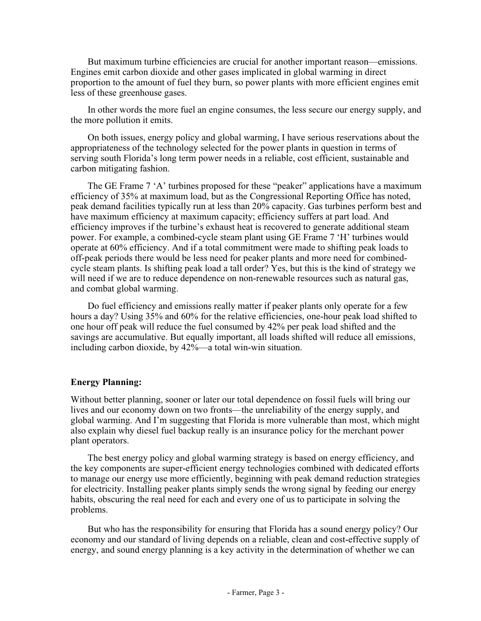But maximum turbine efficiencies are crucial for another important reason—emissions. Engines emit carbon dioxide and other gases implicated in global warming in direct proportion to the amount of fuel they burn, so power plants with more efficient engines emit less of these greenhouse gases.

In other words the more fuel an engine consumes, the less secure our energy supply, and the more pollution it emits.

On both issues, energy policy and global warming, I have serious reservations about the appropriateness of the technology selected for the power plants in question in terms of serving south Florida's long term power needs in a reliable, cost efficient, sustainable and carbon mitigating fashion.

The GE Frame 7 'A' turbines proposed for these "peaker" applications have a maximum efficiency of 35% at maximum load, but as the Congressional Reporting Office has noted, peak demand facilities typically run at less than 20% capacity. Gas turbines perform best and have maximum efficiency at maximum capacity; efficiency suffers at part load. And efficiency improves if the turbine's exhaust heat is recovered to generate additional steam power. For example, a combined-cycle steam plant using GE Frame 7 'H' turbines would operate at 60% efficiency. And if a total commitment were made to shifting peak loads to off-peak periods there would be less need for peaker plants and more need for combinedcycle steam plants. Is shifting peak load a tall order? Yes, but this is the kind of strategy we will need if we are to reduce dependence on non-renewable resources such as natural gas, and combat global warming.

Do fuel efficiency and emissions really matter if peaker plants only operate for a few hours a day? Using 35% and 60% for the relative efficiencies, one-hour peak load shifted to one hour off peak will reduce the fuel consumed by 42% per peak load shifted and the savings are accumulative. But equally important, all loads shifted will reduce all emissions, including carbon dioxide, by 42%—a total win-win situation.

### **Energy Planning:**

Without better planning, sooner or later our total dependence on fossil fuels will bring our lives and our economy down on two fronts—the unreliability of the energy supply, and global warming. And I'm suggesting that Florida is more vulnerable than most, which might also explain why diesel fuel backup really is an insurance policy for the merchant power plant operators.

The best energy policy and global warming strategy is based on energy efficiency, and the key components are super-efficient energy technologies combined with dedicated efforts to manage our energy use more efficiently, beginning with peak demand reduction strategies for electricity. Installing peaker plants simply sends the wrong signal by feeding our energy habits, obscuring the real need for each and every one of us to participate in solving the problems.

But who has the responsibility for ensuring that Florida has a sound energy policy? Our economy and our standard of living depends on a reliable, clean and cost-effective supply of energy, and sound energy planning is a key activity in the determination of whether we can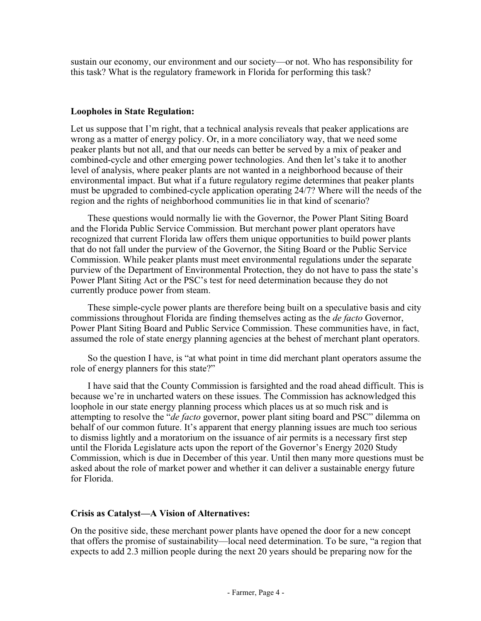sustain our economy, our environment and our society—or not. Who has responsibility for this task? What is the regulatory framework in Florida for performing this task?

## **Loopholes in State Regulation:**

Let us suppose that I'm right, that a technical analysis reveals that peaker applications are wrong as a matter of energy policy. Or, in a more conciliatory way, that we need some peaker plants but not all, and that our needs can better be served by a mix of peaker and combined-cycle and other emerging power technologies. And then let's take it to another level of analysis, where peaker plants are not wanted in a neighborhood because of their environmental impact. But what if a future regulatory regime determines that peaker plants must be upgraded to combined-cycle application operating 24/7? Where will the needs of the region and the rights of neighborhood communities lie in that kind of scenario?

These questions would normally lie with the Governor, the Power Plant Siting Board and the Florida Public Service Commission. But merchant power plant operators have recognized that current Florida law offers them unique opportunities to build power plants that do not fall under the purview of the Governor, the Siting Board or the Public Service Commission. While peaker plants must meet environmental regulations under the separate purview of the Department of Environmental Protection, they do not have to pass the state's Power Plant Siting Act or the PSC's test for need determination because they do not currently produce power from steam.

These simple-cycle power plants are therefore being built on a speculative basis and city commissions throughout Florida are finding themselves acting as the *de facto* Governor, Power Plant Siting Board and Public Service Commission. These communities have, in fact, assumed the role of state energy planning agencies at the behest of merchant plant operators.

So the question I have, is "at what point in time did merchant plant operators assume the role of energy planners for this state?"

I have said that the County Commission is farsighted and the road ahead difficult. This is because we're in uncharted waters on these issues. The Commission has acknowledged this loophole in our state energy planning process which places us at so much risk and is attempting to resolve the "*de facto* governor, power plant siting board and PSC" dilemma on behalf of our common future. It's apparent that energy planning issues are much too serious to dismiss lightly and a moratorium on the issuance of air permits is a necessary first step until the Florida Legislature acts upon the report of the Governor's Energy 2020 Study Commission, which is due in December of this year. Until then many more questions must be asked about the role of market power and whether it can deliver a sustainable energy future for Florida.

### **Crisis as Catalyst—A Vision of Alternatives:**

On the positive side, these merchant power plants have opened the door for a new concept that offers the promise of sustainability—local need determination. To be sure, "a region that expects to add 2.3 million people during the next 20 years should be preparing now for the